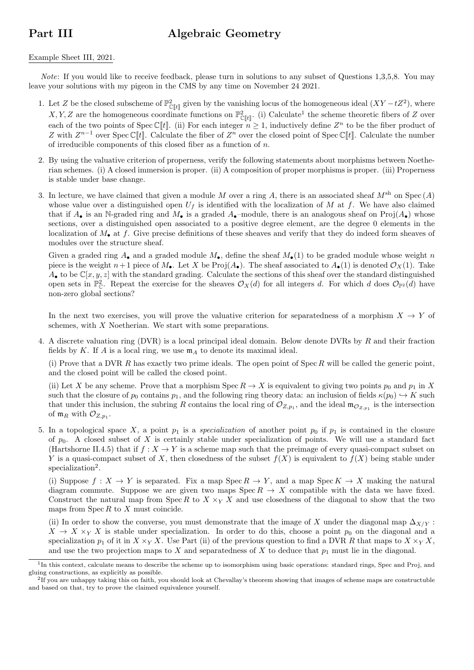## Part III Algebraic Geometry

## Example Sheet III, 2021.

Note: If you would like to receive feedback, please turn in solutions to any subset of Questions 1,3,5,8. You may leave your solutions with my pigeon in the CMS by any time on November 24 2021.

- 1. Let Z be the closed subscheme of  $\mathbb{P}^2_{\mathbb{C}[t]}$  given by the vanishing locus of the homogeneous ideal  $(XY-tZ^2)$ , where X, Y, Z are the homogeneous coordinate functions on  $\mathbb{P}^2_{\mathbb{C}[t]}$ . (i) Calculate<sup>1</sup> the scheme theoretic fibers of Z over each of the two points of Spec C<sup>[[t]</sup>. (ii) For each integer  $n \geq 1$ , inductively define  $Z^n$  to be the fiber product of Z with  $Z^{n-1}$  over Spec C[t]. Calculate the fiber of  $Z^n$  over the closed point of Spec C[t]. Calculate the number of irreducible components of this closed fiber as a function of n.
- 2. By using the valuative criterion of properness, verify the following statements about morphisms between Noetherian schemes. (i) A closed immersion is proper. (ii) A composition of proper morphisms is proper. (iii) Properness is stable under base change.
- 3. In lecture, we have claimed that given a module M over a ring A, there is an associated sheaf  $M^{\text{sh}}$  on  $\text{Spec}(A)$ whose value over a distinguished open  $U_f$  is identified with the localization of M at f. We have also claimed that if  $A_{\bullet}$  is an N-graded ring and  $M_{\bullet}$  is a graded  $A_{\bullet}$ -module, there is an analogous sheaf on Proj( $A_{\bullet}$ ) whose sections, over a distinguished open associated to a positive degree element, are the degree 0 elements in the localization of  $M_{\bullet}$  at f. Give precise definitions of these sheaves and verify that they do indeed form sheaves of modules over the structure sheaf.

Given a graded ring  $A_{\bullet}$  and a graded module  $M_{\bullet}$ , define the sheaf  $M_{\bullet}(1)$  to be graded module whose weight n piece is the weight  $n+1$  piece of  $M_{\bullet}$ . Let X be Proj $(A_{\bullet})$ . The sheaf associated to  $A_{\bullet}(1)$  is denoted  $\mathcal{O}_X(1)$ . Take  $A_{\bullet}$  to be  $\mathbb{C}[x, y, z]$  with the standard grading. Calculate the sections of this sheaf over the standard distinguished open sets in  $\mathbb{P}_{\mathbb{C}}^2$ . Repeat the exercise for the sheaves  $\mathcal{O}_X(d)$  for all integers d. For which d does  $\mathcal{O}_{\mathbb{P}^2}(d)$  have non-zero global sections?

In the next two exercises, you will prove the valuative criterion for separatedness of a morphism  $X \to Y$  of schemes, with X Noetherian. We start with some preparations.

4. A discrete valuation ring (DVR) is a local principal ideal domain. Below denote DVRs by R and their fraction fields by K. If A is a local ring, we use  $m_A$  to denote its maximal ideal.

(i) Prove that a DVR R has exactly two prime ideals. The open point of  $\text{Spec } R$  will be called the generic point, and the closed point will be called the closed point.

(ii) Let X be any scheme. Prove that a morphism Spec  $R \to X$  is equivalent to giving two points  $p_0$  and  $p_1$  in X such that the closure of  $p_0$  contains  $p_1$ , and the following ring theory data: an inclusion of fields  $\kappa(p_0) \hookrightarrow K$  such that under this inclusion, the subring R contains the local ring of  $\mathcal{O}_{Z,p_1}$ , and the ideal  $\mathfrak{m}_{\mathcal{O}_{Z,p_1}}$  is the intersection of  $\mathfrak{m}_R$  with  $\mathcal{O}_{Z,p_1}$ .

5. In a topological space X, a point  $p_1$  is a specialization of another point  $p_0$  if  $p_1$  is contained in the closure of  $p_0$ . A closed subset of X is certainly stable under specialization of points. We will use a standard fact (Hartshorne II.4.5) that if  $f: X \to Y$  is a scheme map such that the preimage of every quasi-compact subset on Y is a quasi-compact subset of X, then closedness of the subset  $f(X)$  is equivalent to  $f(X)$  being stable under specialization<sup>2</sup>.

(i) Suppose  $f: X \to Y$  is separated. Fix a map Spec  $R \to Y$ , and a map Spec  $K \to X$  making the natural diagram commute. Suppose we are given two maps  $\text{Spec } R \to X$  compatible with the data we have fixed. Construct the natural map from Spec R to  $X \times_Y X$  and use closedness of the diagonal to show that the two maps from  $\text{Spec } R$  to  $X$  must coincide.

(ii) In order to show the converse, you must demonstrate that the image of X under the diagonal map  $\Delta_{X/Y}$ :  $X \to X \times_Y X$  is stable under specialization. In order to do this, choose a point  $p_0$  on the diagonal and a specialization  $p_1$  of it in  $X \times_Y X$ . Use Part (ii) of the previous question to find a DVR R that maps to  $X \times_Y X$ , and use the two projection maps to X and separatedness of X to deduce that  $p_1$  must lie in the diagonal.

<sup>&</sup>lt;sup>1</sup>In this context, calculate means to describe the scheme up to isomorphism using basic operations: standard rings, Spec and Proj, and gluing constructions, as explicitly as possible.

 ${}^{2}$ If you are unhappy taking this on faith, you should look at Chevallay's theorem showing that images of scheme maps are constructuble and based on that, try to prove the claimed equivalence yourself.